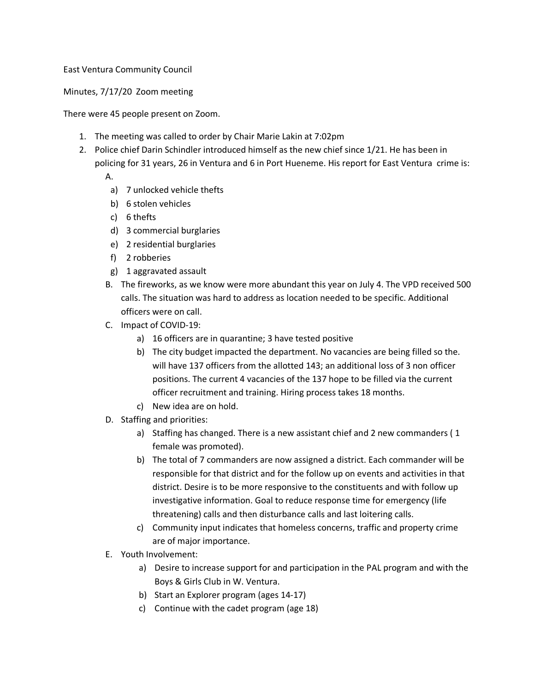## East Ventura Community Council

Minutes, 7/17/20 Zoom meeting

There were 45 people present on Zoom.

- 1. The meeting was called to order by Chair Marie Lakin at 7:02pm
- 2. Police chief Darin Schindler introduced himself as the new chief since 1/21. He has been in policing for 31 years, 26 in Ventura and 6 in Port Hueneme. His report for East Ventura crime is:

A.

- a) 7 unlocked vehicle thefts
- b) 6 stolen vehicles
- c) 6 thefts
- d) 3 commercial burglaries
- e) 2 residential burglaries
- f) 2 robberies
- g) 1 aggravated assault
- B. The fireworks, as we know were more abundant this year on July 4. The VPD received 500 calls. The situation was hard to address as location needed to be specific. Additional officers were on call.
- C. Impact of COVID-19:
	- a) 16 officers are in quarantine; 3 have tested positive
	- b) The city budget impacted the department. No vacancies are being filled so the. will have 137 officers from the allotted 143; an additional loss of 3 non officer positions. The current 4 vacancies of the 137 hope to be filled via the current officer recruitment and training. Hiring process takes 18 months.
	- c) New idea are on hold.
- D. Staffing and priorities:
	- a) Staffing has changed. There is a new assistant chief and 2 new commanders ( 1 female was promoted).
	- b) The total of 7 commanders are now assigned a district. Each commander will be responsible for that district and for the follow up on events and activities in that district. Desire is to be more responsive to the constituents and with follow up investigative information. Goal to reduce response time for emergency (life threatening) calls and then disturbance calls and last loitering calls.
	- c) Community input indicates that homeless concerns, traffic and property crime are of major importance.
- E. Youth Involvement:
	- a) Desire to increase support for and participation in the PAL program and with the Boys & Girls Club in W. Ventura.
	- b) Start an Explorer program (ages 14-17)
	- c) Continue with the cadet program (age 18)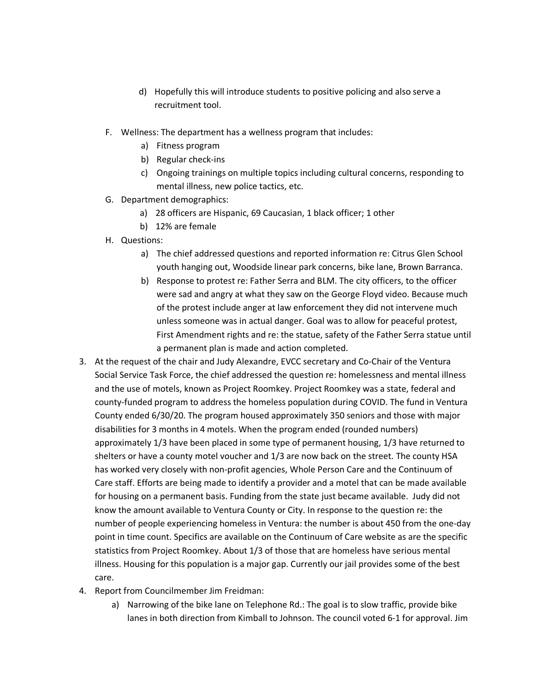- d) Hopefully this will introduce students to positive policing and also serve a recruitment tool.
- F. Wellness: The department has a wellness program that includes:
	- a) Fitness program
	- b) Regular check-ins
	- c) Ongoing trainings on multiple topics including cultural concerns, responding to mental illness, new police tactics, etc.
- G. Department demographics:
	- a) 28 officers are Hispanic, 69 Caucasian, 1 black officer; 1 other
	- b) 12% are female
- H. Questions:
	- a) The chief addressed questions and reported information re: Citrus Glen School youth hanging out, Woodside linear park concerns, bike lane, Brown Barranca.
	- b) Response to protest re: Father Serra and BLM. The city officers, to the officer were sad and angry at what they saw on the George Floyd video. Because much of the protest include anger at law enforcement they did not intervene much unless someone was in actual danger. Goal was to allow for peaceful protest, First Amendment rights and re: the statue, safety of the Father Serra statue until a permanent plan is made and action completed.
- 3. At the request of the chair and Judy Alexandre, EVCC secretary and Co-Chair of the Ventura Social Service Task Force, the chief addressed the question re: homelessness and mental illness and the use of motels, known as Project Roomkey. Project Roomkey was a state, federal and county-funded program to address the homeless population during COVID. The fund in Ventura County ended 6/30/20. The program housed approximately 350 seniors and those with major disabilities for 3 months in 4 motels. When the program ended (rounded numbers) approximately 1/3 have been placed in some type of permanent housing, 1/3 have returned to shelters or have a county motel voucher and 1/3 are now back on the street. The county HSA has worked very closely with non-profit agencies, Whole Person Care and the Continuum of Care staff. Efforts are being made to identify a provider and a motel that can be made available for housing on a permanent basis. Funding from the state just became available. Judy did not know the amount available to Ventura County or City. In response to the question re: the number of people experiencing homeless in Ventura: the number is about 450 from the one-day point in time count. Specifics are available on the Continuum of Care website as are the specific statistics from Project Roomkey. About 1/3 of those that are homeless have serious mental illness. Housing for this population is a major gap. Currently our jail provides some of the best care.
- 4. Report from Councilmember Jim Freidman:
	- a) Narrowing of the bike lane on Telephone Rd.: The goal is to slow traffic, provide bike lanes in both direction from Kimball to Johnson. The council voted 6-1 for approval. Jim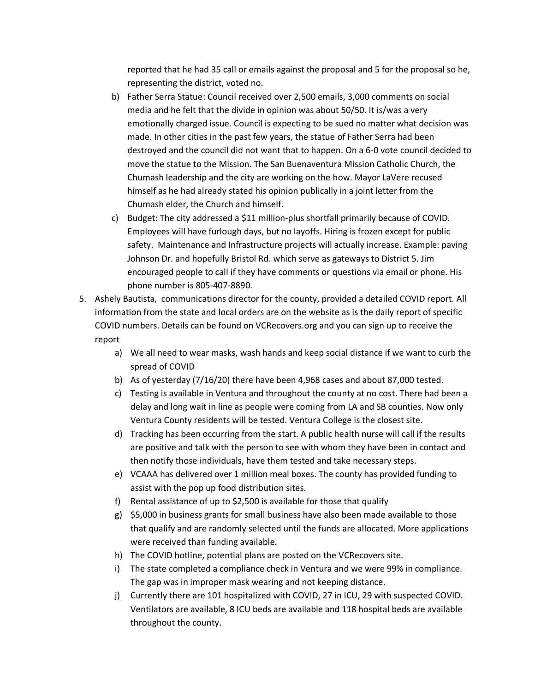reported that he had 35 call or emails against the proposal and 5 for the proposal so he, representing the district, voted no.

- b) Father Serra Statue: Council received over 2,500 emails, 3,000 comments on social media and he felt that the divide in opinion was about 50/50. It is/was a very emotionally charged issue. Council is expecting to be sued no matter what decision was made. In other cities in the past few years, the statue of Father Serra had been destroyed and the council did not want that to happen. On a 6-0 vote council decided to move the statue to the Mission. The San Buenaventura Mission Catholic Church, the Chumash leadership and the city are working on the how. Mayor LaVere recused himself as he had already stated his opinion publically in a joint letter from the Chumash elder, the Church and himself.
- c) Budget: The city addressed a \$11 million-plus shortfall primarily because of COVID. Employees will have furlough days, but no layoffs. Hiring is frozen except for public safety. Maintenance and Infrastructure projects will actually increase. Example: paving Johnson Dr. and hopefully Bristol Rd. which serve as gateways to District 5. Jim encouraged people to call if they have comments or questions via email or phone. His phone number is 805-407-8890.
- 5. Ashely Bautista, communications director for the county, provided a detailed COVID report. All information from the state and local orders are on the website as is the daily report of specific COVID numbers. Details can be found on VCRecovers.org and you can sign up to receive the report
	- a) We all need to wear masks, wash hands and keep social distance if we want to curb the spread of COVID
	- b) As of yesterday (7/16/20) there have been 4,968 cases and about 87,000 tested.
	- c) Testing is available in Ventura and throughout the county at no cost. There had been a delay and long wait in line as people were coming from LA and SB counties. Now only Ventura County residents will be tested. Ventura College is the closest site.
	- d) Tracking has been occurring from the start. A public health nurse will call if the results are positive and talk with the person to see with whom they have been in contact and then notify those individuals, have them tested and take necessary steps.
	- e) VCAAA has delivered over 1 million meal boxes. The county has provided funding to assist with the pop up food distribution sites.
	- f) Rental assistance of up to  $$2,500$  is available for those that qualify
	- g) \$5,000 in business grants for small business have also been made available to those that qualify and are randomly selected until the funds are allocated. More applications were received than funding available.
	- h) The COVID hotline, potential plans are posted on the VCRecovers site.
	- i) The state completed a compliance check in Ventura and we were 99% in compliance. The gap was in improper mask wearing and not keeping distance.
	- j) Currently there are 101 hospitalized with COVID, 27 in ICU, 29 with suspected COVID. Ventilators are available, 8 ICU beds are available and 118 hospital beds are available throughout the county.